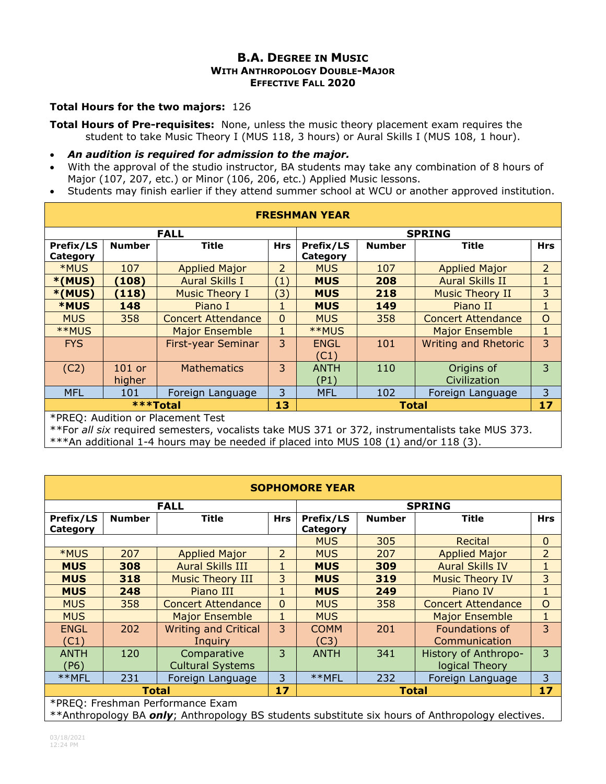## **B.A. DEGREE IN MUSIC WITH ANTHROPOLOGY DOUBLE-MAJOR EFFECTIVE FALL 2020**

## **Total Hours for the two majors:** 126

**Total Hours of Pre-requisites:** None, unless the music theory placement exam requires the student to take Music Theory I (MUS 118, 3 hours) or Aural Skills I (MUS 108, 1 hour).

- *An audition is required for admission to the major.*
- With the approval of the studio instructor, BA students may take any combination of 8 hours of Major (107, 207, etc.) or Minor (106, 206, etc.) Applied Music lessons.
- Students may finish earlier if they attend summer school at WCU or another approved institution.

| <b>FRESHMAN YEAR</b>              |                    |                           |                   |                       |               |                             |                |  |
|-----------------------------------|--------------------|---------------------------|-------------------|-----------------------|---------------|-----------------------------|----------------|--|
| <b>FALL</b>                       |                    |                           |                   | <b>SPRING</b>         |               |                             |                |  |
| Prefix/LS<br>Category             | <b>Number</b>      | <b>Title</b>              | <b>Hrs</b>        | Prefix/LS<br>Category | <b>Number</b> | Title                       | <b>Hrs</b>     |  |
| *MUS                              | 107                | <b>Applied Major</b>      | 2                 | <b>MUS</b>            | 107           | <b>Applied Major</b>        | $\overline{2}$ |  |
| *(MUS)                            | (108)              | <b>Aural Skills I</b>     | $\left( 1\right)$ | <b>MUS</b>            | 208           | <b>Aural Skills II</b>      |                |  |
| $*(MUS)$                          | (118)              | <b>Music Theory I</b>     | $\mathbf{E}$      | <b>MUS</b>            | 218           | <b>Music Theory II</b>      | 3              |  |
| <b>*MUS</b>                       | 148                | Piano I                   | 1                 | <b>MUS</b>            | 149           | Piano II                    |                |  |
| <b>MUS</b>                        | 358                | <b>Concert Attendance</b> | $\Omega$          | <b>MUS</b>            | 358           | <b>Concert Attendance</b>   | $\circ$        |  |
| **MUS                             |                    | <b>Major Ensemble</b>     | 1                 | **MUS                 |               | <b>Major Ensemble</b>       | 1              |  |
| <b>FYS</b>                        |                    | <b>First-year Seminar</b> | 3                 | <b>ENGL</b><br>(C1)   | 101           | <b>Writing and Rhetoric</b> | 3              |  |
| (C2)                              | $101$ or<br>higher | <b>Mathematics</b>        | 3                 | <b>ANTH</b><br>(P1)   | 110           | Origins of<br>Civilization  | 3              |  |
| <b>MFL</b>                        | 101                | Foreign Language          | 3                 | <b>MFL</b>            | 102           | Foreign Language            | 3              |  |
| <b>***Total</b>                   |                    |                           | 13                |                       | <b>Total</b>  |                             | 17             |  |
| *PREQ: Audition or Placement Test |                    |                           |                   |                       |               |                             |                |  |

\*\*For *all six* required semesters, vocalists take MUS 371 or 372, instrumentalists take MUS 373.

\*\*\*An additional 1-4 hours may be needed if placed into MUS 108 (1) and/or 118 (3).

| <b>SOPHOMORE YEAR</b> |                                  |                                        |               |                       |               |                                        |                |  |  |
|-----------------------|----------------------------------|----------------------------------------|---------------|-----------------------|---------------|----------------------------------------|----------------|--|--|
|                       |                                  | <b>FALL</b>                            | <b>SPRING</b> |                       |               |                                        |                |  |  |
| Prefix/LS<br>Category | <b>Number</b>                    | Title                                  | <b>Hrs</b>    | Prefix/LS<br>Category | <b>Number</b> | <b>Title</b>                           | <b>Hrs</b>     |  |  |
|                       |                                  |                                        |               | <b>MUS</b>            | 305           | Recital                                | $\overline{0}$ |  |  |
| *MUS                  | 207                              | <b>Applied Major</b>                   | 2             | <b>MUS</b>            | 207           | <b>Applied Major</b>                   | $\overline{2}$ |  |  |
| <b>MUS</b>            | 308                              | <b>Aural Skills III</b>                |               | <b>MUS</b>            | 309           | <b>Aural Skills IV</b>                 | $\mathbf{1}$   |  |  |
| <b>MUS</b>            | 318                              | <b>Music Theory III</b>                | 3             | <b>MUS</b>            | 319           | <b>Music Theory IV</b>                 | 3              |  |  |
| <b>MUS</b>            | 248                              | Piano III                              |               | <b>MUS</b>            | 249           | Piano IV                               | 1              |  |  |
| <b>MUS</b>            | 358                              | <b>Concert Attendance</b>              | $\Omega$      | <b>MUS</b>            | 358           | <b>Concert Attendance</b>              | $\overline{O}$ |  |  |
| <b>MUS</b>            |                                  | <b>Major Ensemble</b>                  | 1             | <b>MUS</b>            |               | <b>Major Ensemble</b>                  | $\mathbf 1$    |  |  |
| <b>ENGL</b><br>(C1)   | 202                              | <b>Writing and Critical</b><br>Inguiry | 3             | <b>COMM</b><br>(C3)   | 201           | Foundations of<br>Communication        | 3              |  |  |
| <b>ANTH</b><br>(P6)   | 120                              | Comparative<br><b>Cultural Systems</b> | 3             | <b>ANTH</b>           | 341           | History of Anthropo-<br>logical Theory | 3              |  |  |
| **MFL                 | 231                              | Foreign Language                       | 3             | **MFL                 | 232           | Foreign Language                       | 3              |  |  |
| <b>Total</b>          |                                  |                                        | 17            |                       | Total         |                                        | 17             |  |  |
|                       | *PREQ: Freshman Performance Exam |                                        |               |                       |               |                                        |                |  |  |

\*\*Anthropology BA *only*; Anthropology BS students substitute six hours of Anthropology electives.